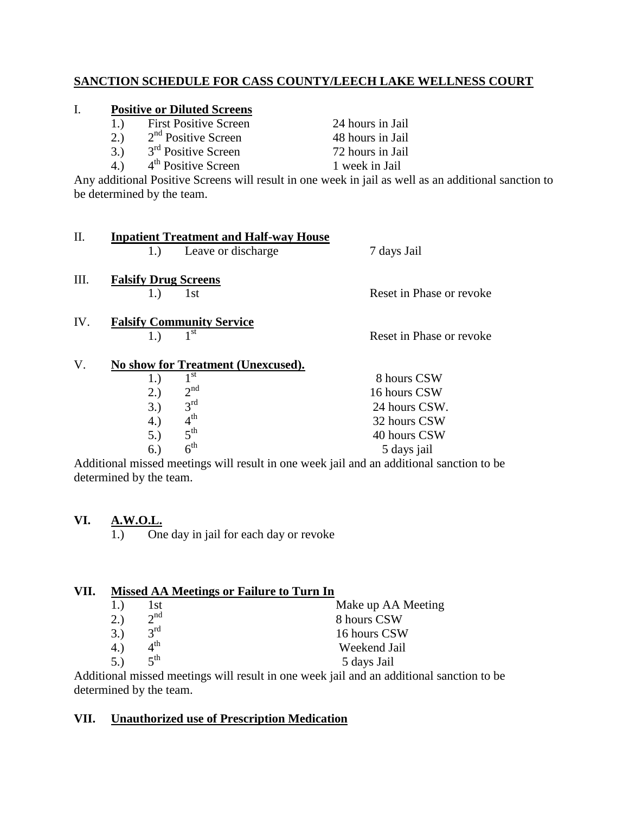# **SANCTION SCHEDULE FOR CASS COUNTY/LEECH LAKE WELLNESS COURT**

## I. **Positive or Diluted Screens**

| 1.) | <b>First Positive Screen</b> | 24 hours in Jail |
|-----|------------------------------|------------------|
| 2.) | $2nd$ Positive Screen        | 48 hours in Jail |
| 3.) | $3rd$ Positive Screen        | 72 hours in Jail |

4.)  $4^{\text{th}}$  Positive Screen 1 week in Jail

Any additional Positive Screens will result in one week in jail as well as an additional sanction to be determined by the team.

| II.  | <b>Inpatient Treatment and Half-way House</b><br>Leave or discharge<br>1.)                                                                                        | 7 days Jail                                                                  |
|------|-------------------------------------------------------------------------------------------------------------------------------------------------------------------|------------------------------------------------------------------------------|
| III. | <b>Falsify Drug Screens</b><br>1st<br>1.)                                                                                                                         | Reset in Phase or revoke                                                     |
| IV.  | <b>Falsify Community Service</b><br>1 <sup>st</sup><br>1.)                                                                                                        | Reset in Phase or revoke                                                     |
| V.   | No show for Treatment (Unexcused).<br>$1^{\rm st}$<br>1.)<br>2 <sup>nd</sup><br>2.)<br>3 <sup>rd</sup><br>3.)<br>4 <sup>th</sup><br>4.)<br>$5^{\text{th}}$<br>5.) | 8 hours CSW<br>16 hours CSW<br>24 hours CSW.<br>32 hours CSW<br>40 hours CSW |

Additional missed meetings will result in one week jail and an additional sanction to be determined by the team.

5 days jail

# **VI. A.W.O.L.**

 $5.$ )

 $6.$ )

 $6<sup>th</sup>$ 

1.) One day in jail for each day or revoke

| 8 hours CSW  |
|--------------|
| 16 hours CSW |
| Weekend Jail |
| 5 days Jail  |
|              |

Additional missed meetings will result in one week jail and an additional sanction to be determined by the team.

#### **VII. Unauthorized use of Prescription Medication**